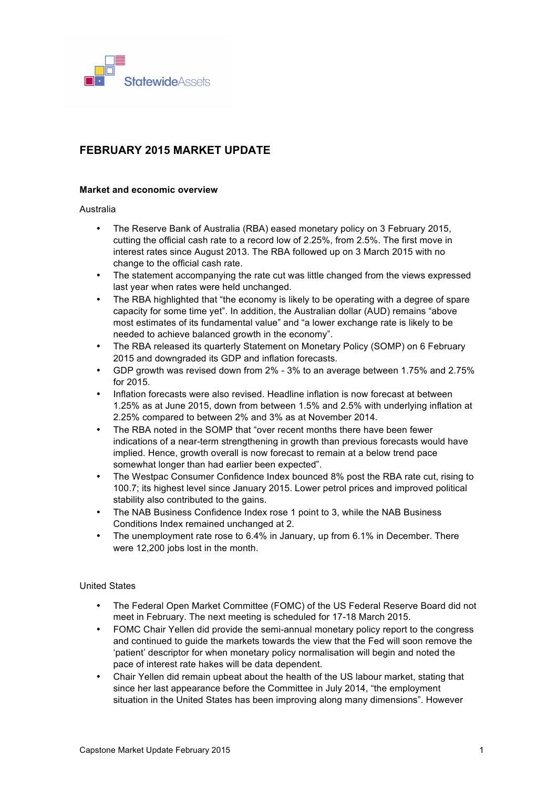

# **FEBRUARY 2015 MARKET UPDATE**

## **Market and economic overview**

Australia

- The Reserve Bank of Australia (RBA) eased monetary policy on 3 February 2015, cutting the official cash rate to a record low of 2.25%, from 2.5%. The first move in interest rates since August 2013. The RBA followed up on 3 March 2015 with no change to the official cash rate.
- The statement accompanying the rate cut was little changed from the views expressed last year when rates were held unchanged.
- The RBA highlighted that "the economy is likely to be operating with a degree of spare capacity for some time yet". In addition, the Australian dollar (AUD) remains "above most estimates of its fundamental value" and "a lower exchange rate is likely to be needed to achieve balanced growth in the economy".
- The RBA released its quarterly Statement on Monetary Policy (SOMP) on 6 February 2015 and downgraded its GDP and inflation forecasts.
- GDP growth was revised down from 2% 3% to an average between 1.75% and 2.75% for 2015.
- Inflation forecasts were also revised. Headline inflation is now forecast at between 1.25% as at June 2015, down from between 1.5% and 2.5% with underlying inflation at 2.25% compared to between 2% and 3% as at November 2014.
- The RBA noted in the SOMP that "over recent months there have been fewer indications of a near-term strengthening in growth than previous forecasts would have implied. Hence, growth overall is now forecast to remain at a below trend pace somewhat longer than had earlier been expected".
- The Westpac Consumer Confidence Index bounced 8% post the RBA rate cut, rising to 100.7; its highest level since January 2015. Lower petrol prices and improved political stability also contributed to the gains.
- The NAB Business Confidence Index rose 1 point to 3, while the NAB Business Conditions Index remained unchanged at 2.
- The unemployment rate rose to 6.4% in January, up from 6.1% in December. There were 12,200 jobs lost in the month.

## United States

- The Federal Open Market Committee (FOMC) of the US Federal Reserve Board did not meet in February. The next meeting is scheduled for 17-18 March 2015.
- FOMC Chair Yellen did provide the semi-annual monetary policy report to the congress and continued to guide the markets towards the view that the Fed will soon remove the 'patient' descriptor for when monetary policy normalisation will begin and noted the pace of interest rate hakes will be data dependent.
- Chair Yellen did remain upbeat about the health of the US labour market, stating that since her last appearance before the Committee in July 2014, "the employment situation in the United States has been improving along many dimensions". However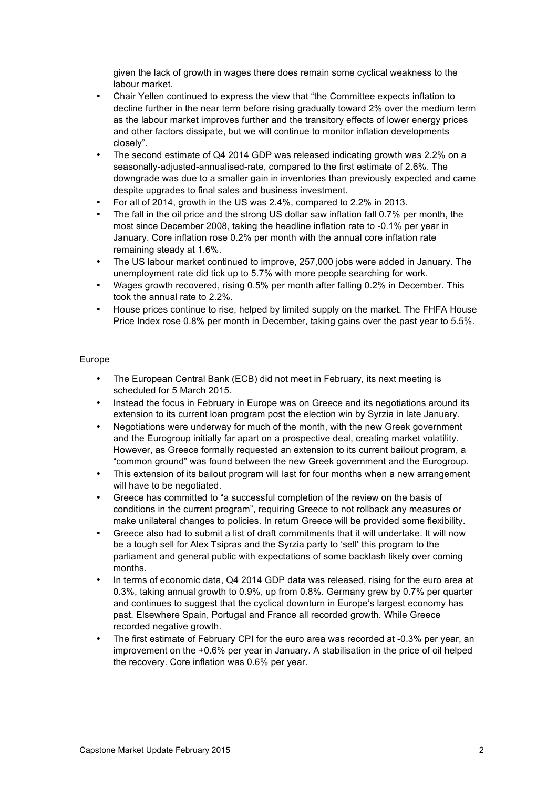given the lack of growth in wages there does remain some cyclical weakness to the labour market.

- Chair Yellen continued to express the view that "the Committee expects inflation to decline further in the near term before rising gradually toward 2% over the medium term as the labour market improves further and the transitory effects of lower energy prices and other factors dissipate, but we will continue to monitor inflation developments closely".
- The second estimate of Q4 2014 GDP was released indicating growth was 2.2% on a seasonally-adjusted-annualised-rate, compared to the first estimate of 2.6%. The downgrade was due to a smaller gain in inventories than previously expected and came despite upgrades to final sales and business investment.
- For all of 2014, growth in the US was 2.4%, compared to 2.2% in 2013.
- The fall in the oil price and the strong US dollar saw inflation fall 0.7% per month, the most since December 2008, taking the headline inflation rate to -0.1% per year in January. Core inflation rose 0.2% per month with the annual core inflation rate remaining steady at 1.6%.
- The US labour market continued to improve, 257,000 jobs were added in January. The unemployment rate did tick up to 5.7% with more people searching for work.
- Wages growth recovered, rising 0.5% per month after falling 0.2% in December. This took the annual rate to 2.2%.
- House prices continue to rise, helped by limited supply on the market. The FHFA House Price Index rose 0.8% per month in December, taking gains over the past year to 5.5%.

## Europe

- The European Central Bank (ECB) did not meet in February, its next meeting is scheduled for 5 March 2015.
- Instead the focus in February in Europe was on Greece and its negotiations around its extension to its current loan program post the election win by Syrzia in late January.
- Negotiations were underway for much of the month, with the new Greek government and the Eurogroup initially far apart on a prospective deal, creating market volatility. However, as Greece formally requested an extension to its current bailout program, a "common ground" was found between the new Greek government and the Eurogroup.
- This extension of its bailout program will last for four months when a new arrangement will have to be negotiated.
- Greece has committed to "a successful completion of the review on the basis of conditions in the current program", requiring Greece to not rollback any measures or make unilateral changes to policies. In return Greece will be provided some flexibility.
- Greece also had to submit a list of draft commitments that it will undertake. It will now be a tough sell for Alex Tsipras and the Syrzia party to 'sell' this program to the parliament and general public with expectations of some backlash likely over coming months.
- In terms of economic data, Q4 2014 GDP data was released, rising for the euro area at 0.3%, taking annual growth to 0.9%, up from 0.8%. Germany grew by 0.7% per quarter and continues to suggest that the cyclical downturn in Europe's largest economy has past. Elsewhere Spain, Portugal and France all recorded growth. While Greece recorded negative growth.
- The first estimate of February CPI for the euro area was recorded at -0.3% per year, an improvement on the +0.6% per year in January. A stabilisation in the price of oil helped the recovery. Core inflation was 0.6% per year.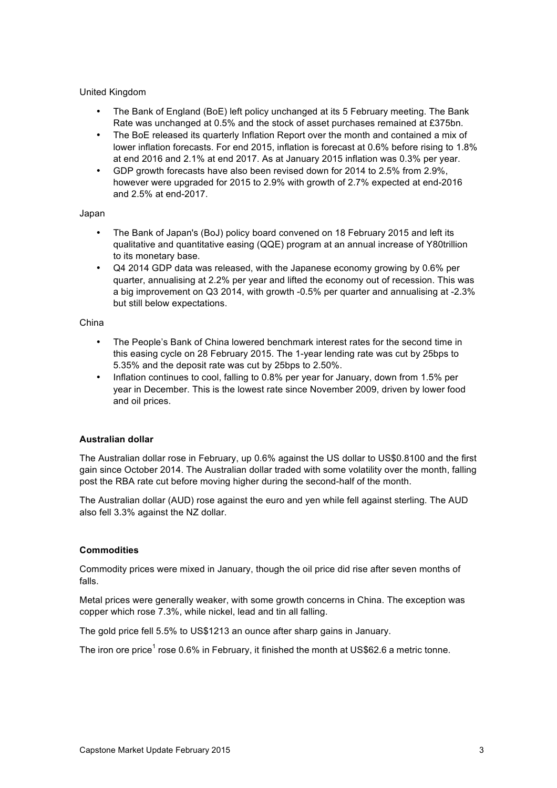## United Kingdom

- The Bank of England (BoE) left policy unchanged at its 5 February meeting. The Bank Rate was unchanged at 0.5% and the stock of asset purchases remained at £375bn.
- The BoE released its quarterly Inflation Report over the month and contained a mix of lower inflation forecasts. For end 2015, inflation is forecast at 0.6% before rising to 1.8% at end 2016 and 2.1% at end 2017. As at January 2015 inflation was 0.3% per year.
- GDP growth forecasts have also been revised down for 2014 to 2.5% from 2.9%, however were upgraded for 2015 to 2.9% with growth of 2.7% expected at end-2016 and 2.5% at end-2017.

#### Japan

- The Bank of Japan's (BoJ) policy board convened on 18 February 2015 and left its qualitative and quantitative easing (QQE) program at an annual increase of Y80trillion to its monetary base.
- Q4 2014 GDP data was released, with the Japanese economy growing by 0.6% per quarter, annualising at 2.2% per year and lifted the economy out of recession. This was a big improvement on Q3 2014, with growth -0.5% per quarter and annualising at -2.3% but still below expectations.

#### China

- The People's Bank of China lowered benchmark interest rates for the second time in this easing cycle on 28 February 2015. The 1-year lending rate was cut by 25bps to 5.35% and the deposit rate was cut by 25bps to 2.50%.
- Inflation continues to cool, falling to 0.8% per year for January, down from 1.5% per year in December. This is the lowest rate since November 2009, driven by lower food and oil prices.

#### **Australian dollar**

The Australian dollar rose in February, up 0.6% against the US dollar to US\$0.8100 and the first gain since October 2014. The Australian dollar traded with some volatility over the month, falling post the RBA rate cut before moving higher during the second-half of the month.

The Australian dollar (AUD) rose against the euro and yen while fell against sterling. The AUD also fell 3.3% against the NZ dollar.

#### **Commodities**

Commodity prices were mixed in January, though the oil price did rise after seven months of falls.

Metal prices were generally weaker, with some growth concerns in China. The exception was copper which rose 7.3%, while nickel, lead and tin all falling.

The gold price fell 5.5% to US\$1213 an ounce after sharp gains in January.

The iron ore price<sup>1</sup> rose 0.6% in February, it finished the month at US\$62.6 a metric tonne.